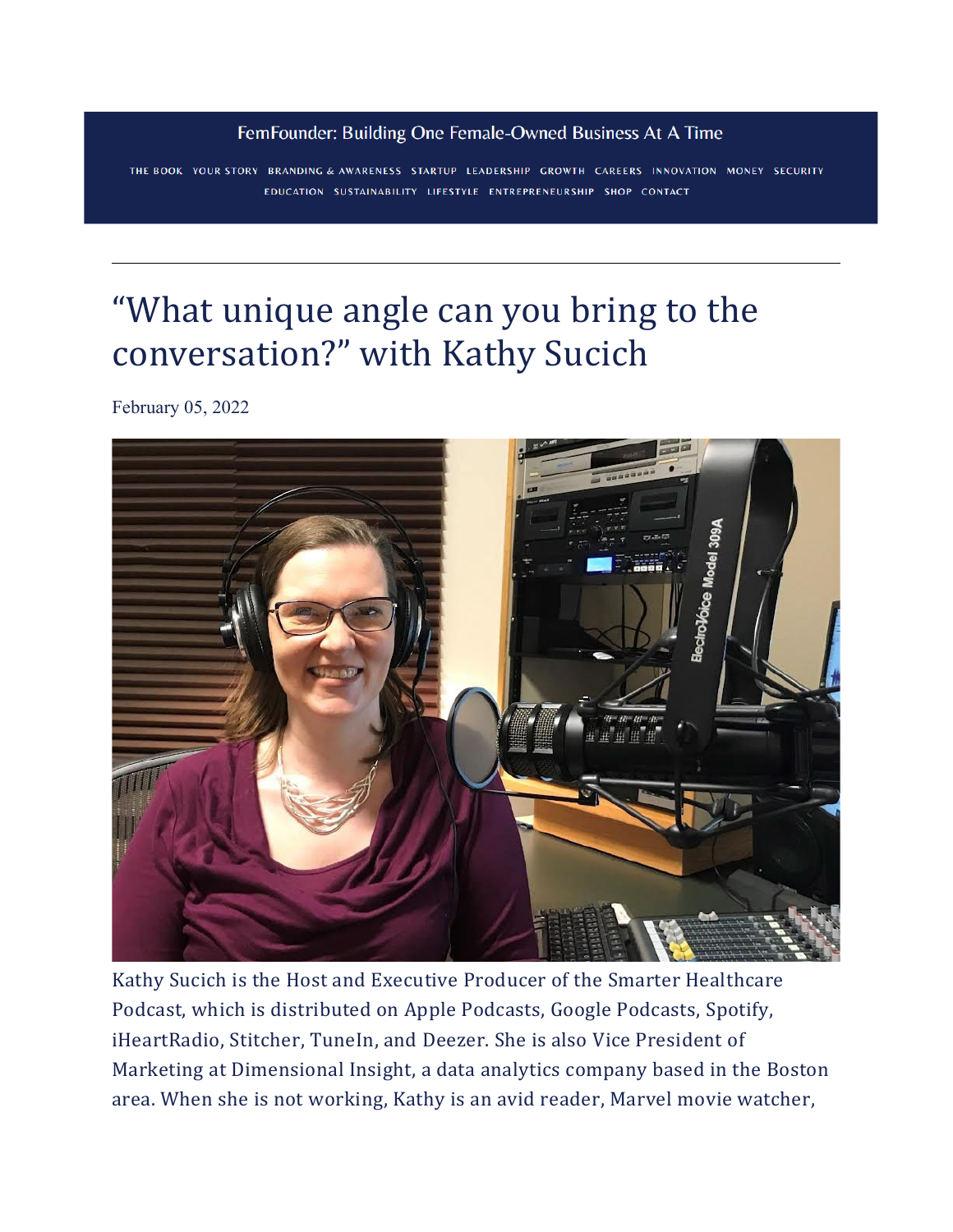#### FemFounder: Building One Female-Owned Business At A Time

THE BOOK YOUR STORY BRANDING & AWARENESS STARTUP LEADERSHIP GROWTH CAREERS INNOVATION MONEY SECURITY EDUCATION SUSTAINABILITY LIFESTYLE ENTREPRENEURSHIP SHOP CONTACT

# ["What unique angle can you bring to the](https://www.femfounder.co/femfounderstories/what-unique-angle-can-you-bring-to-the-conversation-with-kathy-sucich)  [conversation?" with Kathy Sucich](https://www.femfounder.co/femfounderstories/what-unique-angle-can-you-bring-to-the-conversation-with-kathy-sucich)

[February 05, 2022](https://www.femfounder.co/femfounderstories/what-unique-angle-can-you-bring-to-the-conversation-with-kathy-sucich)



Kathy Sucich is the Host and Executive Producer of the Smarter Healthcare Podcast, which is distributed on Apple Podcasts, Google Podcasts, Spotify, iHeartRadio, Stitcher, TuneIn, and Deezer. She is also Vice President of Marketing at Dimensional Insight, a data analytics company based in the Boston area. When she is not working, Kathy is an avid reader, Marvel movie watcher,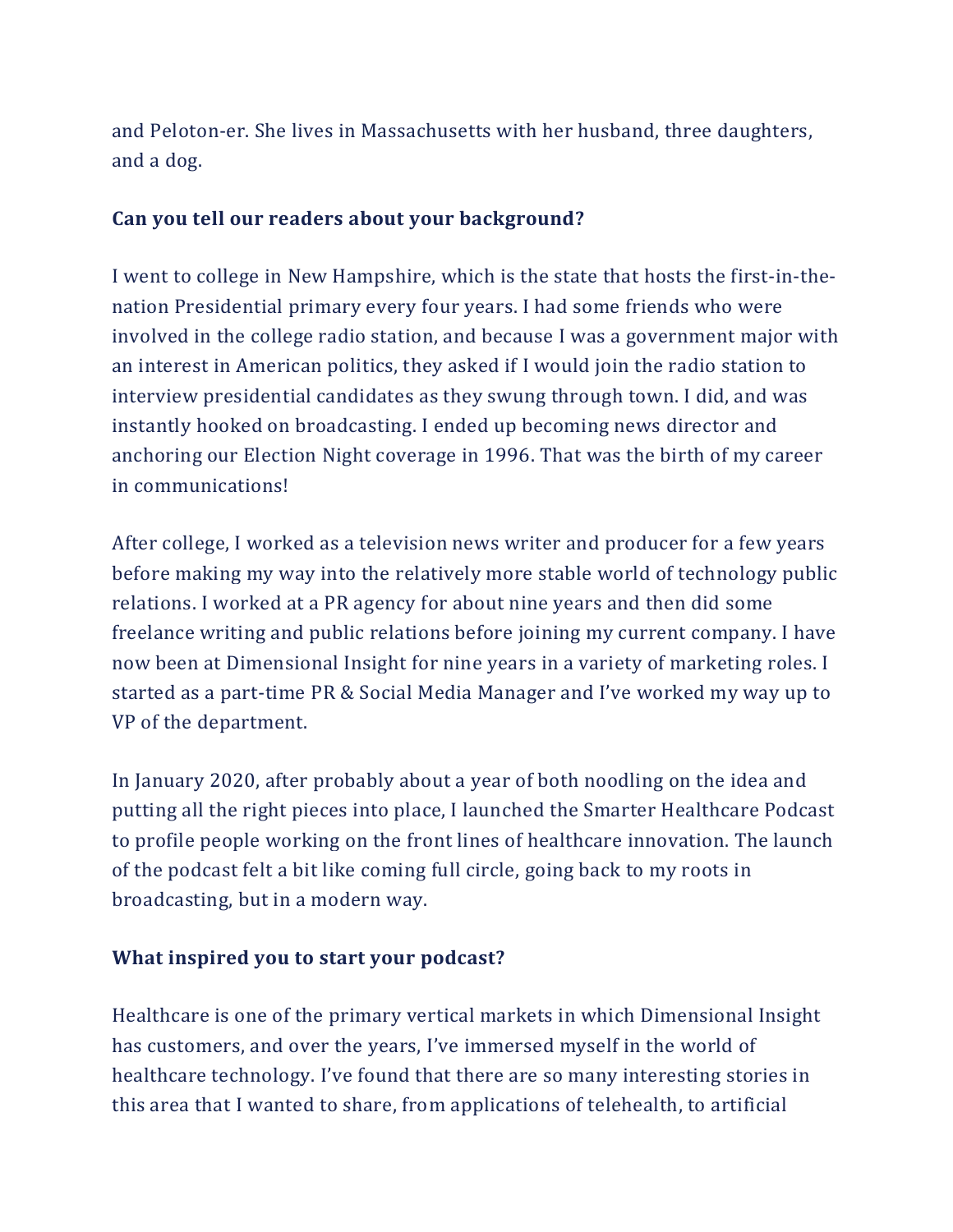and Peloton-er. She lives in Massachusetts with her husband, three daughters, and a dog.

#### **Can you tell our readers about your background?**

I went to college in New Hampshire, which is the state that hosts the first-in-thenation Presidential primary every four years. I had some friends who were involved in the college radio station, and because I was a government major with an interest in American politics, they asked if I would join the radio station to interview presidential candidates as they swung through town. I did, and was instantly hooked on broadcasting. I ended up becoming news director and anchoring our Election Night coverage in 1996. That was the birth of my career in communications!

After college, I worked as a television news writer and producer for a few years before making my way into the relatively more stable world of technology public relations. I worked at a PR agency for about nine years and then did some freelance writing and public relations before joining my current company. I have now been at Dimensional Insight for nine years in a variety of marketing roles. I started as a part-time PR & Social Media Manager and I've worked my way up to VP of the department.

In January 2020, after probably about a year of both noodling on the idea and putting all the right pieces into place, I launched the Smarter Healthcare Podcast to profile people working on the front lines of healthcare innovation. The launch of the podcast felt a bit like coming full circle, going back to my roots in broadcasting, but in a modern way.

#### **What inspired you to start your podcast?**

Healthcare is one of the primary vertical markets in which Dimensional Insight has customers, and over the years, I've immersed myself in the world of healthcare technology. I've found that there are so many interesting stories in this area that I wanted to share, from applications of telehealth, to artificial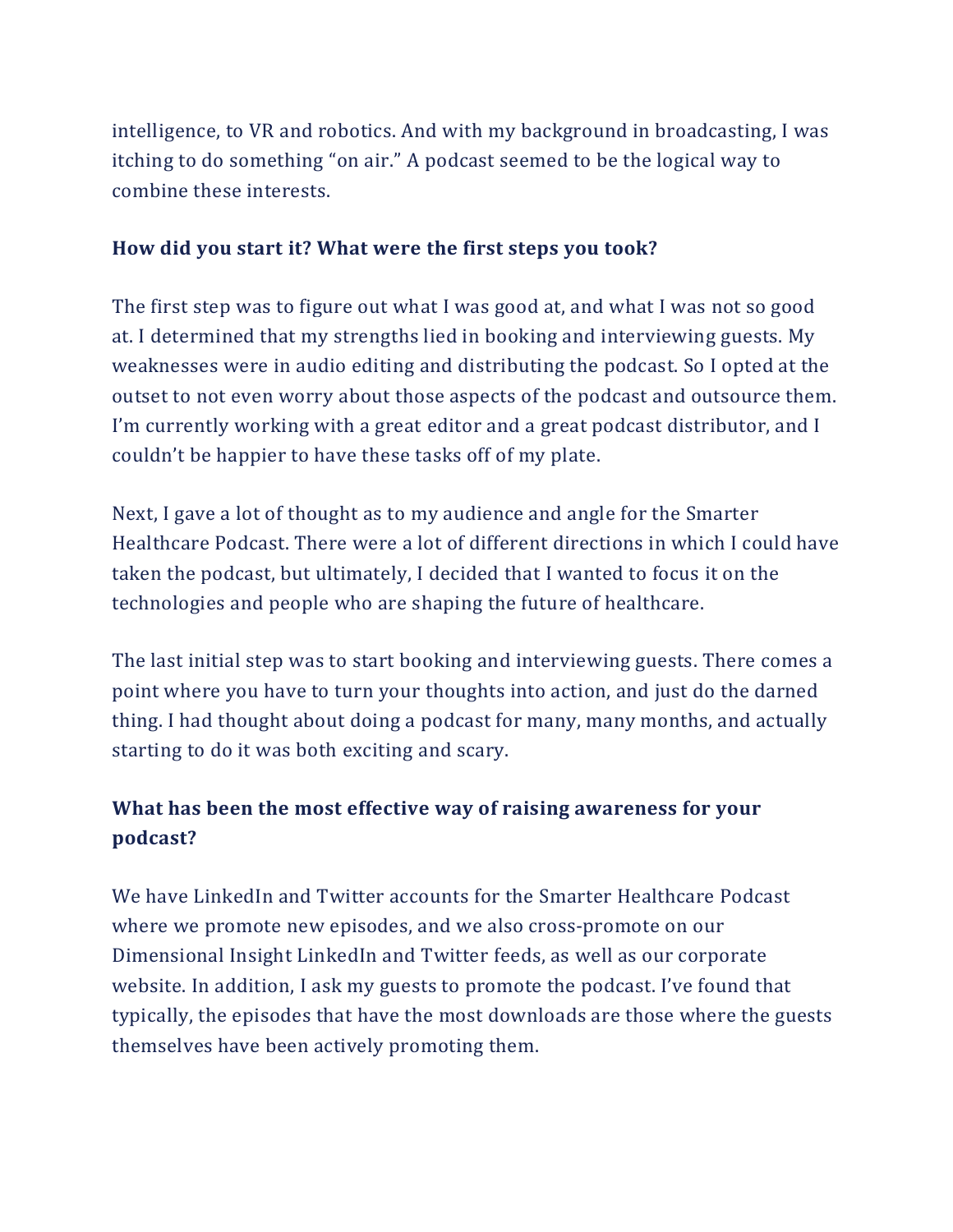intelligence, to VR and robotics. And with my background in broadcasting, I was itching to do something "on air." A podcast seemed to be the logical way to combine these interests.

#### **How did you start it? What were the first steps you took?**

The first step was to figure out what I was good at, and what I was not so good at. I determined that my strengths lied in booking and interviewing guests. My weaknesses were in audio editing and distributing the podcast. So I opted at the outset to not even worry about those aspects of the podcast and outsource them. I'm currently working with a great editor and a great podcast distributor, and I couldn't be happier to have these tasks off of my plate.

Next, I gave a lot of thought as to my audience and angle for the Smarter Healthcare Podcast. There were a lot of different directions in which I could have taken the podcast, but ultimately, I decided that I wanted to focus it on the technologies and people who are shaping the future of healthcare.

The last initial step was to start booking and interviewing guests. There comes a point where you have to turn your thoughts into action, and just do the darned thing. I had thought about doing a podcast for many, many months, and actually starting to do it was both exciting and scary.

### **What has been the most effective way of raising awareness for your podcast?**

We have LinkedIn and Twitter accounts for the Smarter Healthcare Podcast where we promote new episodes, and we also cross-promote on our Dimensional Insight LinkedIn and Twitter feeds, as well as our corporate website. In addition, I ask my guests to promote the podcast. I've found that typically, the episodes that have the most downloads are those where the guests themselves have been actively promoting them.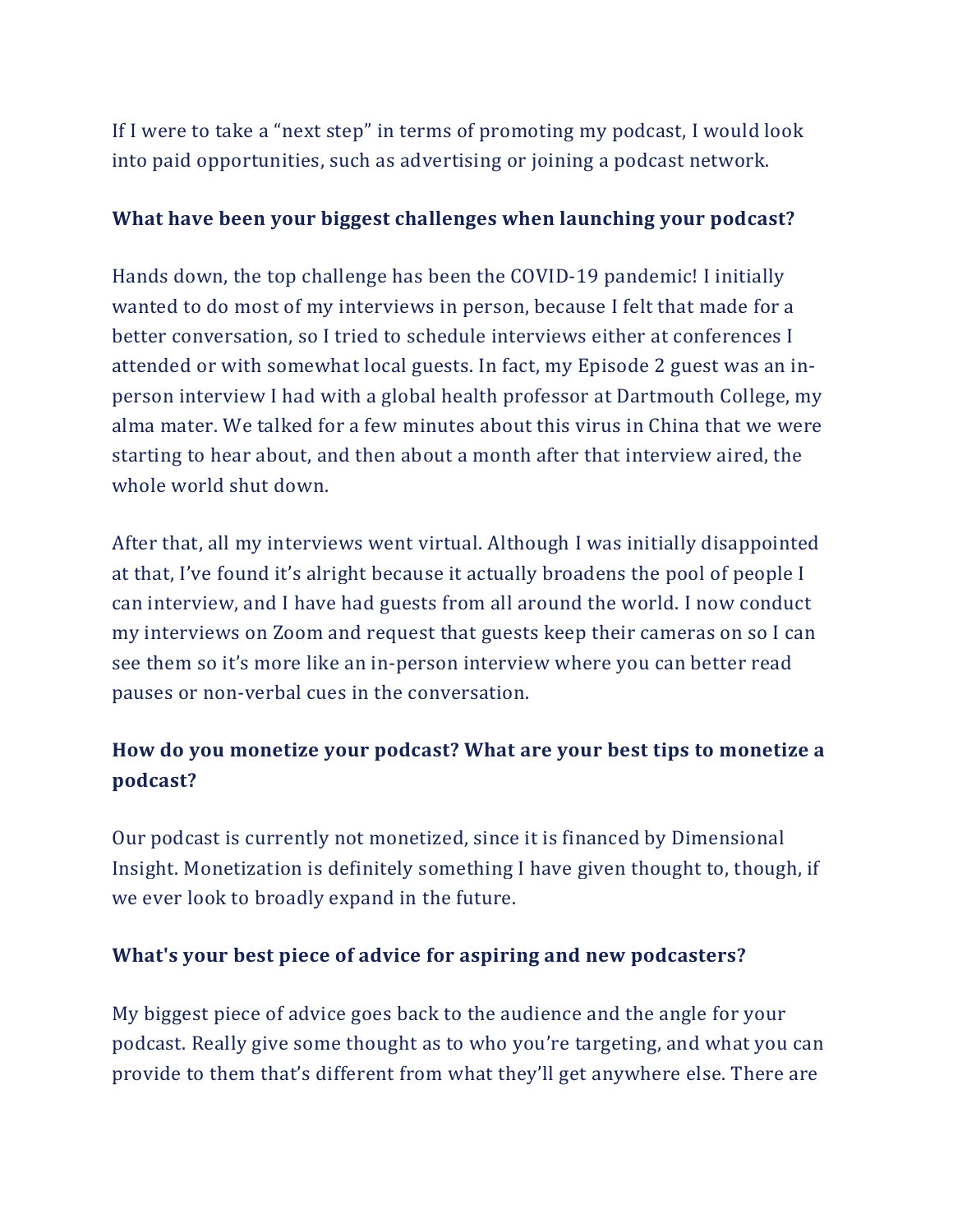If I were to take a "next step" in terms of promoting my podcast, I would look into paid opportunities, such as advertising or joining a podcast network.

#### **What have been your biggest challenges when launching your podcast?**

Hands down, the top challenge has been the COVID-19 pandemic! I initially wanted to do most of my interviews in person, because I felt that made for a better conversation, so I tried to schedule interviews either at conferences I attended or with somewhat local guests. In fact, my Episode 2 guest was an inperson interview I had with a global health professor at Dartmouth College, my alma mater. We talked for a few minutes about this virus in China that we were starting to hear about, and then about a month after that interview aired, the whole world shut down.

After that, all my interviews went virtual. Although I was initially disappointed at that, I've found it's alright because it actually broadens the pool of people I can interview, and I have had guests from all around the world. I now conduct my interviews on Zoom and request that guests keep their cameras on so I can see them so it's more like an in-person interview where you can better read pauses or non-verbal cues in the conversation.

## **How do you monetize your podcast? What are your best tips to monetize a podcast?**

Our podcast is currently not monetized, since it is financed by Dimensional Insight. Monetization is definitely something I have given thought to, though, if we ever look to broadly expand in the future.

#### **What's your best piece of advice for aspiring and new podcasters?**

My biggest piece of advice goes back to the audience and the angle for your podcast. Really give some thought as to who you're targeting, and what you can provide to them that's different from what they'll get anywhere else. There are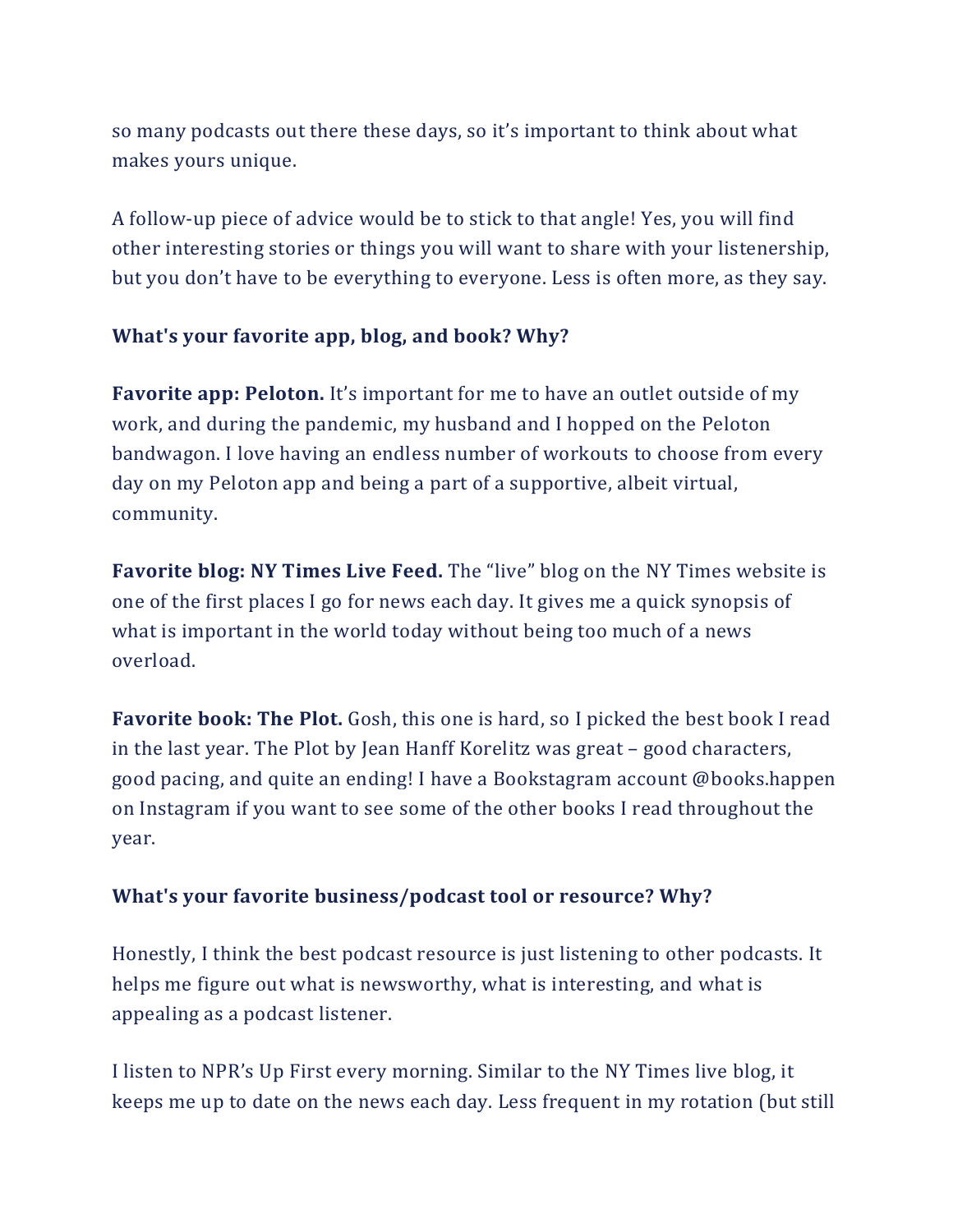so many podcasts out there these days, so it's important to think about what makes yours unique.

A follow-up piece of advice would be to stick to that angle! Yes, you will find other interesting stories or things you will want to share with your listenership, but you don't have to be everything to everyone. Less is often more, as they say.

#### **What's your favorite app, blog, and book? Why?**

**Favorite app: Peloton.** It's important for me to have an outlet outside of my work, and during the pandemic, my husband and I hopped on the Peloton bandwagon. I love having an endless number of workouts to choose from every day on my Peloton app and being a part of a supportive, albeit virtual, community.

**Favorite blog: NY Times Live Feed.** The "live" blog on the NY Times website is one of the first places I go for news each day. It gives me a quick synopsis of what is important in the world today without being too much of a news overload.

**Favorite book: The Plot.** Gosh, this one is hard, so I picked the best book I read in the last year. The Plot by Jean Hanff Korelitz was great – good characters, good pacing, and quite an ending! I have a Bookstagram account @books.happen on Instagram if you want to see some of the other books I read throughout the year.

#### **What's your favorite business/podcast tool or resource? Why?**

Honestly, I think the best podcast resource is just listening to other podcasts. It helps me figure out what is newsworthy, what is interesting, and what is appealing as a podcast listener.

I listen to NPR's Up First every morning. Similar to the NY Times live blog, it keeps me up to date on the news each day. Less frequent in my rotation (but still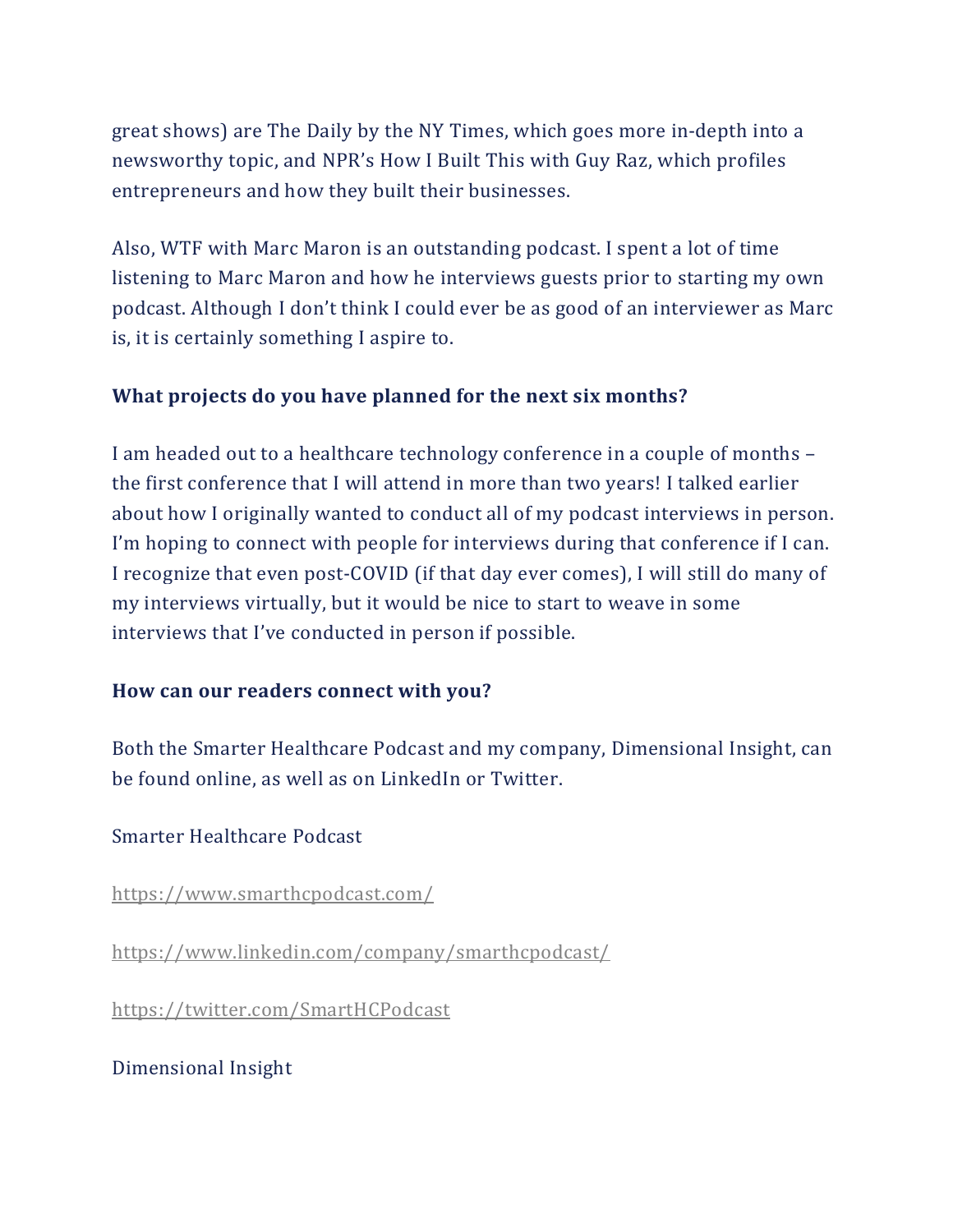great shows) are The Daily by the NY Times, which goes more in-depth into a newsworthy topic, and NPR's How I Built This with Guy Raz, which profiles entrepreneurs and how they built their businesses.

Also, WTF with Marc Maron is an outstanding podcast. I spent a lot of time listening to Marc Maron and how he interviews guests prior to starting my own podcast. Although I don't think I could ever be as good of an interviewer as Marc is, it is certainly something I aspire to.

#### **What projects do you have planned for the next six months?**

I am headed out to a healthcare technology conference in a couple of months – the first conference that I will attend in more than two years! I talked earlier about how I originally wanted to conduct all of my podcast interviews in person. I'm hoping to connect with people for interviews during that conference if I can. I recognize that even post-COVID (if that day ever comes), I will still do many of my interviews virtually, but it would be nice to start to weave in some interviews that I've conducted in person if possible.

#### **How can our readers connect with you?**

Both the Smarter Healthcare Podcast and my company, Dimensional Insight, can be found online, as well as on LinkedIn or Twitter.

#### Smarter Healthcare Podcast

<https://www.smarthcpodcast.com/>

<https://www.linkedin.com/company/smarthcpodcast/>

<https://twitter.com/SmartHCPodcast>

Dimensional Insight